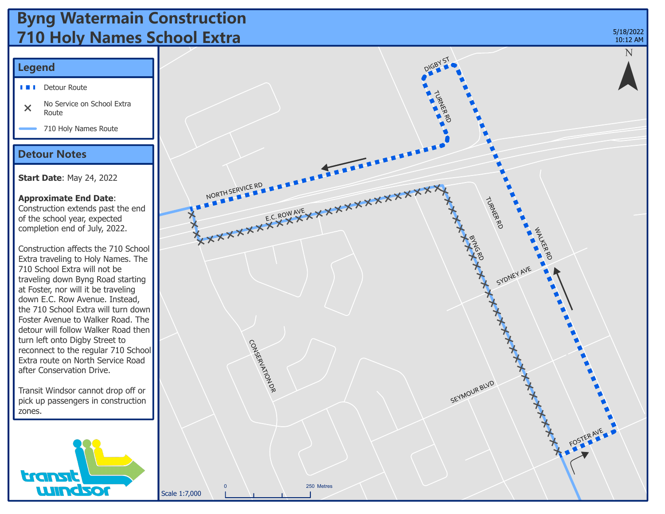## **Byng Watermain Construction 710 Holy Names School Extra**

### **Legend**

- 
- No Service on School Extra  $\overline{\mathsf{x}}$ Route
- 710 Holy Names Route

#### **Detour Notes**

**Start Date**: May 24, 2022

#### **Approximate End Date**:

Construction extends past the end of the school year, expected completion end of July, 2022.

Construction affects the 710 School Extra traveling to Holy Names. The 710 School Extra will not be traveling down Byng Road starting at Foster, nor will it be traveling down E.C. Row Avenue. Instead, the 710 School Extra will turn down Foster Avenue to Walker Road. The detour will follow Walker Road then turn left onto Digby Street to reconnect to the regular 710 School Extra route on North Service Road after Conservation Drive.

Transit Windsor cannot drop off or pick up passengers in construction zones.



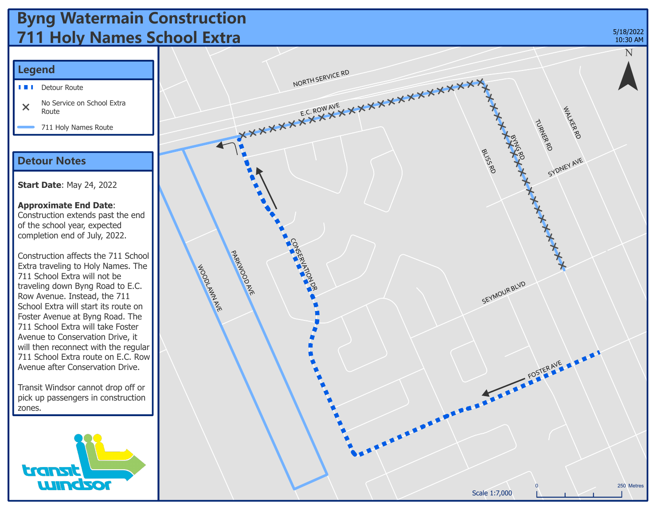# **Byng Watermain Construction 711 Holy Names School Extra**



### **Legend**

- LЕ. Detour Route
- No Service on School Extra  $\overline{\mathsf{x}}$ Route
	- 711 Holy Names Route

### **Detour Notes**

**Start Date**: May 24, 2022

**Approximate End Date**: Construction extends past the end of the school year, expected completion end of July, 2022.

Construction affects the 711 School Extra traveling to Holy Names. The 711 School Extra will not be traveling down Byng Road to E.C. Row Avenue. Instead, the 711 School Extra will start its route on Foster Avenue at Byng Road. The 711 School Extra will take Foster Avenue to Conservation Drive, it will then reconnect with the regular 711 School Extra route on E.C. Row Avenue after Conservation Drive.

Transit Windsor cannot drop off or pick up passengers in construction zones.